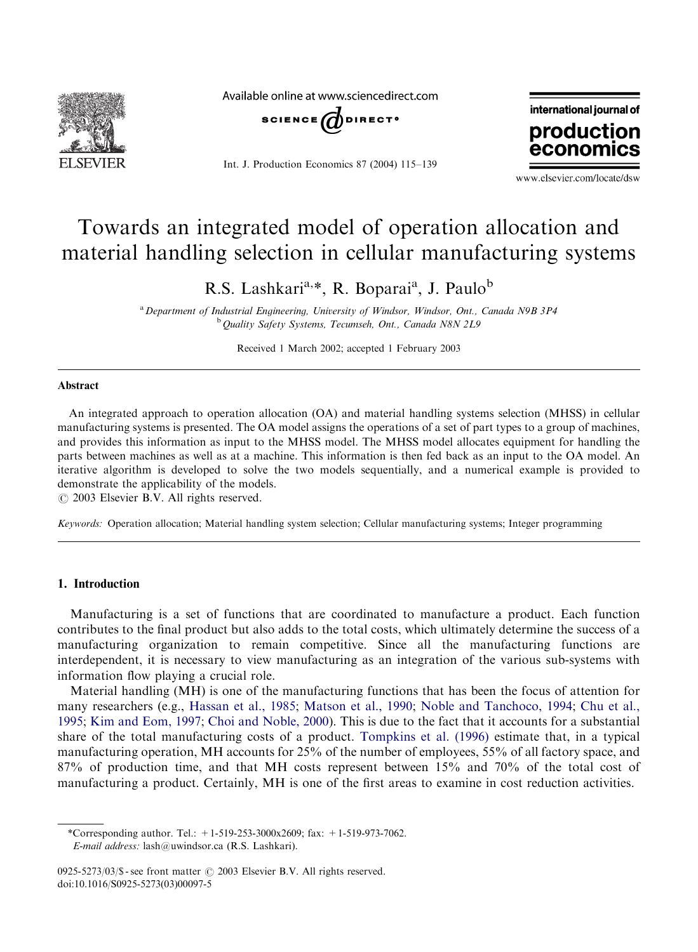

Available online at www.sciencedirect.com



Int. J. Production Economics 87 (2004) 115–139



www.elsevier.com/locate/dsw

## Towards an integrated model of operation allocation and material handling selection in cellular manufacturing systems

R.S. Lashkari<sup>a,\*</sup>, R. Boparai<sup>a</sup>, J. Paulo<sup>b</sup>

<sup>a</sup> Department of Industrial Engineering, University of Windsor, Windsor, Ont., Canada N9B 3P4 <sup>b</sup> Quality Safety Systems, Tecumseh, Ont., Canada N8N 2L9

Received 1 March 2002; accepted 1 February 2003

#### Abstract

An integrated approach to operation allocation (OA) and material handling systems selection (MHSS) in cellular manufacturing systems is presented. The OA model assigns the operations of a set of part types to a group of machines, and provides this information as input to the MHSS model. The MHSS model allocates equipment for handling the parts between machines as well as at a machine. This information is then fed back as an input to the OA model. An iterative algorithm is developed to solve the two models sequentially, and a numerical example is provided to demonstrate the applicability of the models.

 $\odot$  2003 Elsevier B.V. All rights reserved.

Keywords: Operation allocation; Material handling system selection; Cellular manufacturing systems; Integer programming

### 1. Introduction

Manufacturing is a set of functions that are coordinated to manufacture a product. Each function contributes to the final product but also adds to the total costs, which ultimately determine the success of a manufacturing organization to remain competitive. Since all the manufacturing functions are interdependent, it is necessary to view manufacturing as an integration of the various sub-systems with information flow playing a crucial role.

Material handling (MH) is one of the manufacturing functions that has been the focus of attention for many researchers (e.g., [Hassan et al., 1985;](#page--1-0) [Matson et al., 1990;](#page--1-0) [Noble and Tanchoco, 1994](#page--1-0); [Chu et al.,](#page--1-0) [1995;](#page--1-0) [Kim and Eom, 1997;](#page--1-0) [Choi and Noble, 2000](#page--1-0)). This is due to the fact that it accounts for a substantial share of the total manufacturing costs of a product. [Tompkins et al. \(1996\)](#page--1-0) estimate that, in a typical manufacturing operation, MH accounts for  $25\%$  of the number of employees, 55% of all factory space, and 87% of production time, and that MH costs represent between 15% and 70% of the total cost of manufacturinga product. Certainly, MH is one of the first areas to examine in cost reduction activities.

<sup>\*</sup>Corresponding author. Tel.:  $+1-519-253-3000x2609$ ; fax:  $+1-519-973-7062$ . E-mail address: lash@uwindsor.ca (R.S. Lashkari).

<sup>0925-5273/03/\$ -</sup> see front matter  $\odot$  2003 Elsevier B.V. All rights reserved. doi:10.1016/S0925-5273(03)00097-5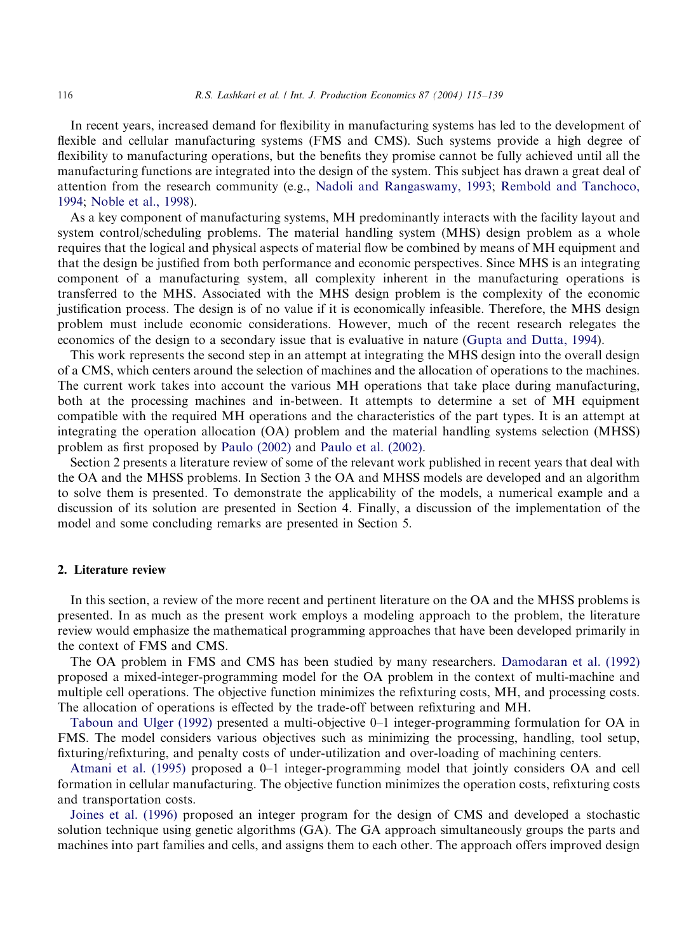In recent years, increased demand for flexibility in manufacturing systems has led to the development of flexible and cellular manufacturing systems (FMS and CMS). Such systems provide a high degree of flexibility to manufacturing operations, but the benefits they promise cannot be fully achieved until all the manufacturing functions are integrated into the design of the system. This subject has drawn a great deal of attention from the research community (e.g., [Nadoli and Rangaswamy, 1993;](#page--1-0) [Rembold and Tanchoco,](#page--1-0) [1994;](#page--1-0) [Noble et al., 1998\)](#page--1-0).

As a key component of manufacturing systems, MH predominantly interacts with the facility layout and system control/scheduling problems. The material handling system (MHS) design problem as a whole requires that the logical and physical aspects of material flow be combined by means of MH equipment and that the design be justified from both performance and economic perspectives. Since MHS is an integrating component of a manufacturing system, all complexity inherent in the manufacturing operations is transferred to the MHS. Associated with the MHS design problem is the complexity of the economic justification process. The design is of no value if it is economically infeasible. Therefore, the MHS design problem must include economic considerations. However, much of the recent research relegates the economics of the design to a secondary issue that is evaluative in nature [\(Gupta and Dutta, 1994\)](#page--1-0).

This work represents the second step in an attempt at integrating the MHS design into the overall design of a CMS, which centers around the selection of machines and the allocation of operations to the machines. The current work takes into account the various MH operations that take place duringmanufacturing, both at the processing machines and in-between. It attempts to determine a set of MH equipment compatible with the required MH operations and the characteristics of the part types. It is an attempt at integrating the operation allocation (OA) problem and the material handling systems selection (MHSS) problem as first proposed by [Paulo \(2002\)](#page--1-0) and [Paulo et al. \(2002\)](#page--1-0).

Section 2 presents a literature review of some of the relevant work published in recent years that deal with the OA and the MHSS problems. In Section 3 the OA and MHSS models are developed and an algorithm to solve them is presented. To demonstrate the applicability of the models, a numerical example and a discussion of its solution are presented in Section 4. Finally, a discussion of the implementation of the model and some concluding remarks are presented in Section 5.

### 2. Literature review

In this section, a review of the more recent and pertinent literature on the OA and the MHSS problems is presented. In as much as the present work employs a modelingapproach to the problem, the literature review would emphasize the mathematical programming approaches that have been developed primarily in the context of FMS and CMS.

The OA problem in FMS and CMS has been studied by many researchers. [Damodaran et al. \(1992\)](#page--1-0) proposed a mixed-integer-programming model for the OA problem in the context of multi-machine and multiple cell operations. The objective function minimizes the refixturing costs, MH, and processing costs. The allocation of operations is effected by the trade-off between refixturingand MH.

[Taboun and Ulger \(1992\)](#page--1-0) presented a multi-objective 0–1 integer-programming formulation for OA in FMS. The model considers various objectives such as minimizing the processing, handling, tool setup, fixturing/refixturing, and penalty costs of under-utilization and over-loading of machining centers.

[Atmani et al. \(1995\)](#page--1-0) proposed a 0–1 integer-programming model that jointly considers OA and cell formation in cellular manufacturing. The objective function minimizes the operation costs, refixturing costs and transportation costs.

[Joines et al. \(1996\)](#page--1-0) proposed an integer program for the design of CMS and developed a stochastic solution technique using genetic algorithms (GA). The GA approach simultaneously groups the parts and machines into part families and cells, and assigns them to each other. The approach offers improved design